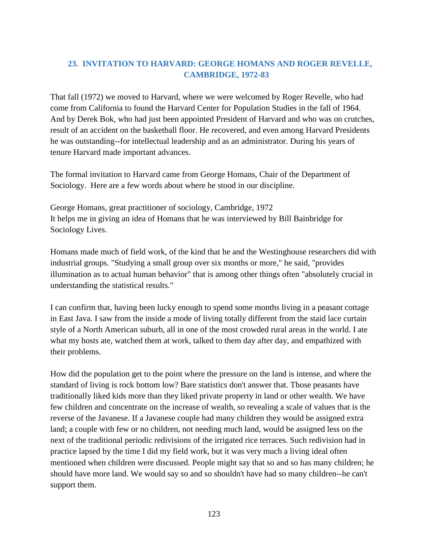## **23. INVITATION TO HARVARD: GEORGE HOMANS AND ROGER REVELLE, CAMBRIDGE, 1972-83**

That fall (1972) we moved to Harvard, where we were welcomed by Roger Revelle, who had come from California to found the Harvard Center for Population Studies in the fall of 1964. And by Derek Bok, who had just been appointed President of Harvard and who was on crutches, result of an accident on the basketball floor. He recovered, and even among Harvard Presidents he was outstanding--for intellectual leadership and as an administrator. During his years of tenure Harvard made important advances.

The formal invitation to Harvard came from George Homans, Chair of the Department of Sociology. Here are a few words about where he stood in our discipline.

George Homans, great practitioner of sociology, Cambridge, 1972 It helps me in giving an idea of Homans that he was interviewed by Bill Bainbridge for Sociology Lives.

Homans made much of field work, of the kind that he and the Westinghouse researchers did with industrial groups. "Studying a small group over six months or more," he said, "provides illumination as to actual human behavior" that is among other things often "absolutely crucial in understanding the statistical results."

I can confirm that, having been lucky enough to spend some months living in a peasant cottage in East Java. I saw from the inside a mode of living totally different from the staid lace curtain style of a North American suburb, all in one of the most crowded rural areas in the world. I ate what my hosts ate, watched them at work, talked to them day after day, and empathized with their problems.

How did the population get to the point where the pressure on the land is intense, and where the standard of living is rock bottom low? Bare statistics don't answer that. Those peasants have traditionally liked kids more than they liked private property in land or other wealth. We have few children and concentrate on the increase of wealth, so revealing a scale of values that is the reverse of the Javanese. If a Javanese couple had many children they would be assigned extra land; a couple with few or no children, not needing much land, would be assigned less on the next of the traditional periodic redivisions of the irrigated rice terraces. Such redivision had in practice lapsed by the time I did my field work, but it was very much a living ideal often mentioned when children were discussed. People might say that so and so has many children; he should have more land. We would say so and so shouldn't have had so many children--he can't support them.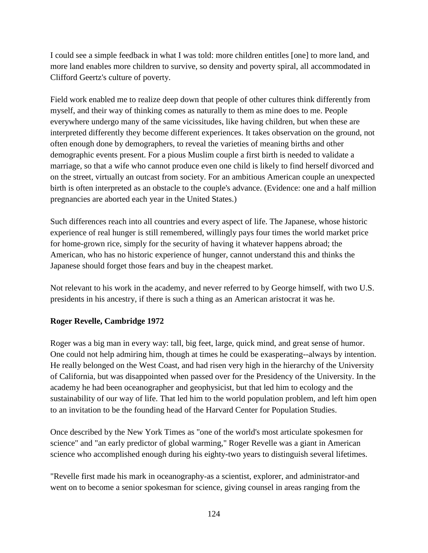I could see a simple feedback in what I was told: more children entitles [one] to more land, and more land enables more children to survive, so density and poverty spiral, all accommodated in Clifford Geertz's culture of poverty.

Field work enabled me to realize deep down that people of other cultures think differently from myself, and their way of thinking comes as naturally to them as mine does to me. People everywhere undergo many of the same vicissitudes, like having children, but when these are interpreted differently they become different experiences. It takes observation on the ground, not often enough done by demographers, to reveal the varieties of meaning births and other demographic events present. For a pious Muslim couple a first birth is needed to validate a marriage, so that a wife who cannot produce even one child is likely to find herself divorced and on the street, virtually an outcast from society. For an ambitious American couple an unexpected birth is often interpreted as an obstacle to the couple's advance. (Evidence: one and a half million pregnancies are aborted each year in the United States.)

Such differences reach into all countries and every aspect of life. The Japanese, whose historic experience of real hunger is still remembered, willingly pays four times the world market price for home-grown rice, simply for the security of having it whatever happens abroad; the American, who has no historic experience of hunger, cannot understand this and thinks the Japanese should forget those fears and buy in the cheapest market.

Not relevant to his work in the academy, and never referred to by George himself, with two U.S. presidents in his ancestry, if there is such a thing as an American aristocrat it was he.

## **Roger Revelle, Cambridge 1972**

Roger was a big man in every way: tall, big feet, large, quick mind, and great sense of humor. One could not help admiring him, though at times he could be exasperating--always by intention. He really belonged on the West Coast, and had risen very high in the hierarchy of the University of California, but was disappointed when passed over for the Presidency of the University. In the academy he had been oceanographer and geophysicist, but that led him to ecology and the sustainability of our way of life. That led him to the world population problem, and left him open to an invitation to be the founding head of the Harvard Center for Population Studies.

Once described by the New York Times as "one of the world's most articulate spokesmen for science" and "an early predictor of global warming," Roger Revelle was a giant in American science who accomplished enough during his eighty-two years to distinguish several lifetimes.

"Revelle first made his mark in oceanography-as a scientist, explorer, and administrator-and went on to become a senior spokesman for science, giving counsel in areas ranging from the